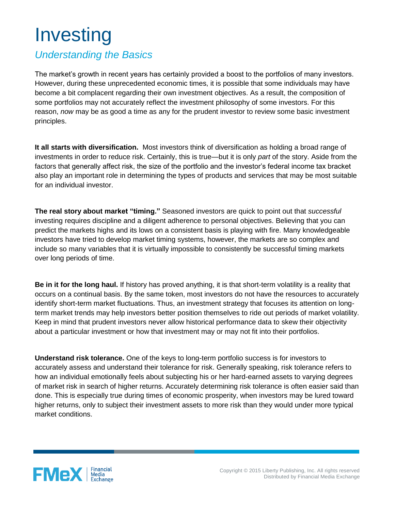## Investing

## *Understanding the Basics*

The market's growth in recent years has certainly provided a boost to the portfolios of many investors. However, during these unprecedented economic times, it is possible that some individuals may have become a bit complacent regarding their own investment objectives. As a result, the composition of some portfolios may not accurately reflect the investment philosophy of some investors. For this reason, *now* may be as good a time as any for the prudent investor to review some basic investment principles.

**It all starts with diversification.** Most investors think of diversification as holding a broad range of investments in order to reduce risk. Certainly, this is true—but it is only *part* of the story. Aside from the factors that generally affect risk, the size of the portfolio and the investor's federal income tax bracket also play an important role in determining the types of products and services that may be most suitable for an individual investor.

**The real story about market "timing."** Seasoned investors are quick to point out that *successful* investing requires discipline and a diligent adherence to personal objectives. Believing that you can predict the markets highs and its lows on a consistent basis is playing with fire. Many knowledgeable investors have tried to develop market timing systems, however, the markets are so complex and include so many variables that it is virtually impossible to consistently be successful timing markets over long periods of time.

**Be in it for the long haul.** If history has proved anything, it is that short-term volatility is a reality that occurs on a continual basis. By the same token, most investors do not have the resources to accurately identify short-term market fluctuations. Thus, an investment strategy that focuses its attention on longterm market trends may help investors better position themselves to ride out periods of market volatility. Keep in mind that prudent investors never allow historical performance data to skew their objectivity about a particular investment or how that investment may or may not fit into their portfolios.

**Understand risk tolerance.** One of the keys to long-term portfolio success is for investors to accurately assess and understand their tolerance for risk. Generally speaking, risk tolerance refers to how an individual emotionally feels about subjecting his or her hard-earned assets to varying degrees of market risk in search of higher returns. Accurately determining risk tolerance is often easier said than done. This is especially true during times of economic prosperity, when investors may be lured toward higher returns, only to subject their investment assets to more risk than they would under more typical market conditions.